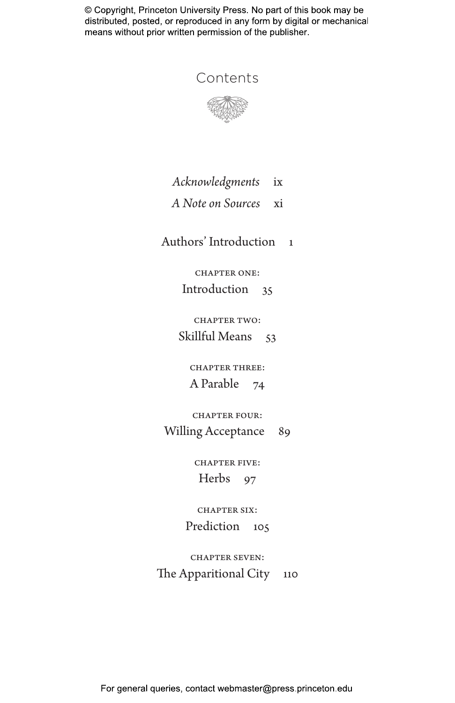

*Acknowledgments* ix

*A Note on Sources* xi

Authors' Introduction 1

CHAPTER ONE:

Introduction 35

chapter two: Skillful Means 53

> chapter three: A Parable 74

chapter four: Willing Acceptance 89

CHAPTER FIVE:

Herbs 97

CHAPTER SIX: Prediction 105

chapter seven: The Apparitional City 110

For general queries, contact webmaster@press.princeton.edu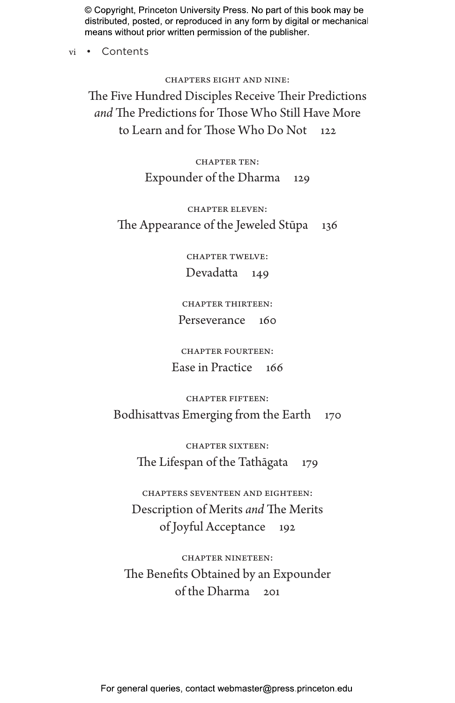vi • Contents

chapters eight and nine:

The Five Hundred Disciples Receive Their Predictions *and* The Predictions for Those Who Still Have More to Learn and for Those Who Do Not 122

> chapter ten: Expounder of the Dharma 129

chapter eleven: The Appearance of the Jeweled Stūpa 136

> chapter twelve: Devadatta 149

chapter thirteen: Perseverance 160

chapter fourteen: Ease in Practice 166

chapter fifteen: Bodhisattvas Emerging from the Earth 170

> chapter sixteen: The Lifespan of the Tathāgata 179

chapters seventeen and eighteen: Description of Merits *and* The Merits of Joyful Acceptance 192

chapter nineteen: The Benefits Obtained by an Expounder of the Dharma 201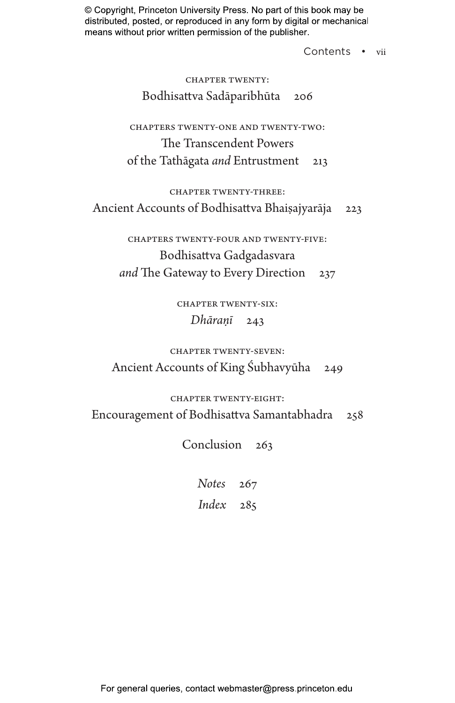Contents • vii

chapter twenty: Bodhisattva Sadāparibhūta 206

chapters twenty-one and twenty-two: The Transcendent Powers of the Tathāgata *and* Entrustment 213

chapter twenty-three: Ancient Accounts of Bodhisattva Bhaiṣajyarāja 223

> chapters twenty-four and twenty-five: Bodhisattva Gadgadasvara and The Gateway to Every Direction 237

> > chapter twenty-six: *Dhāraṇī* 243

chapter twenty-seven: Ancient Accounts of King Śubhavyūha 249

chapter twenty-eight: Encouragement of Bodhisattva Samantabhadra 258

Conclusion 263

*Notes* 267 *Index* 285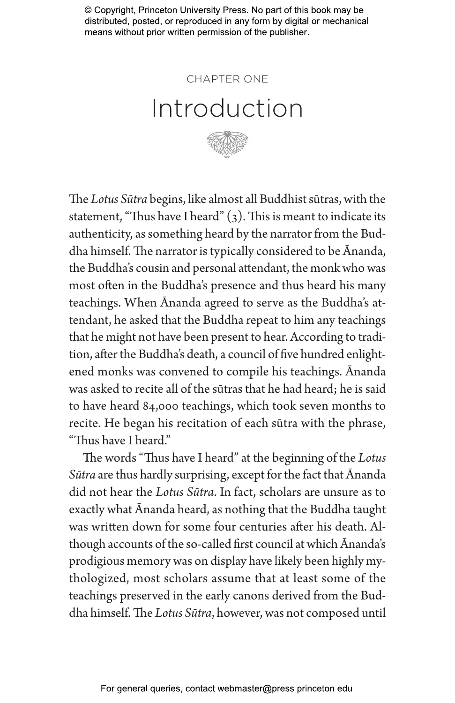# CHAPTER ONE Introduction

The *Lotus Sūtra* begins, like almost all Buddhist sūtras, with the statement, "Thus have I heard"  $(3)$ . This is meant to indicate its authenticity, as something heard by the narrator from the Buddha himself. The narrator is typically considered to be Ānanda, the Buddha's cousin and personal attendant, the monk who was most often in the Buddha's presence and thus heard his many teachings. When Ānanda agreed to serve as the Buddha's attendant, he asked that the Buddha repeat to him any teachings that he might not have been present to hear. According to tradition, after the Buddha's death, a council of five hundred enlightened monks was convened to compile his teachings. Ānanda was asked to recite all of the sūtras that he had heard; he is said to have heard 84,000 teachings, which took seven months to recite. He began his recitation of each sūtra with the phrase, "Thus have I heard."

The words "Thus have I heard" at the beginning of the *Lotus Sūtra* are thus hardly surprising, except for the fact that Ānanda did not hear the *Lotus Sūtra*. In fact, scholars are unsure as to exactly what Ānanda heard, as nothing that the Buddha taught was written down for some four centuries after his death. Although accounts of the so-called first council at which Ānanda's prodigious memory was on display have likely been highly mythologized, most scholars assume that at least some of the teachings preserved in the early canons derived from the Buddha himself. The *Lotus Sūtra*, however, was not composed until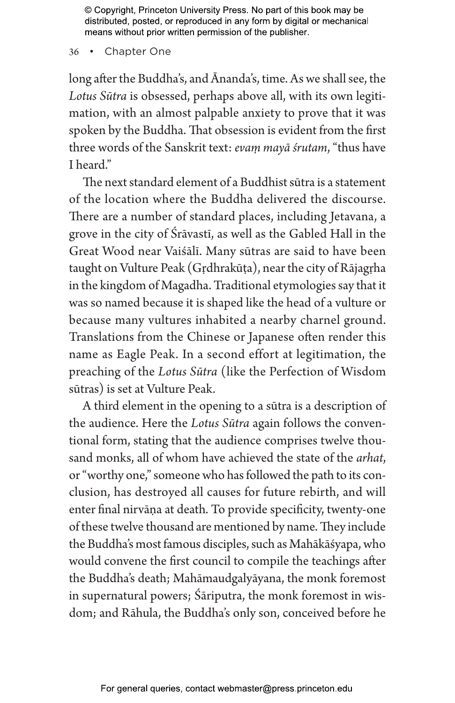36 • Chapter One

long after the Buddha's, and Ānanda's, time. As we shall see, the *Lotus Sūtra* is obsessed, perhaps above all, with its own legitimation, with an almost palpable anxiety to prove that it was spoken by the Buddha. That obsession is evident from the first three words of the Sanskrit text: *evaṃ mayā śrutam*, "thus have I heard."

The next standard element of a Buddhist sūtra is a statement of the location where the Buddha delivered the discourse. There are a number of standard places, including Jetavana, a grove in the city of Śrāvastī, as well as the Gabled Hall in the Great Wood near Vaiśālī. Many sūtras are said to have been taught on Vulture Peak (Gṛdhrakūṭa), near the city of Rājagṛha in the kingdom of Magadha. Traditional etymologies say that it was so named because it is shaped like the head of a vulture or because many vultures inhabited a nearby charnel ground. Translations from the Chinese or Japanese often render this name as Eagle Peak. In a second effort at legitimation, the preaching of the *Lotus Sūtra* (like the Perfection of Wisdom sūtras) is set at Vulture Peak.

A third element in the opening to a sūtra is a description of the audience. Here the *Lotus Sūtra* again follows the conventional form, stating that the audience comprises twelve thousand monks, all of whom have achieved the state of the *arhat*, or "worthy one," someone who has followed the path to its conclusion, has destroyed all causes for future rebirth, and will enter final nirvāṇa at death. To provide specificity, twenty-one of these twelve thousand are mentioned by name. They include the Buddha's most famous disciples, such as Mahākāśyapa, who would convene the first council to compile the teachings after the Buddha's death; Mahāmaudgalyāyana, the monk foremost in supernatural powers; Śāriputra, the monk foremost in wisdom; and Rāhula, the Buddha's only son, conceived before he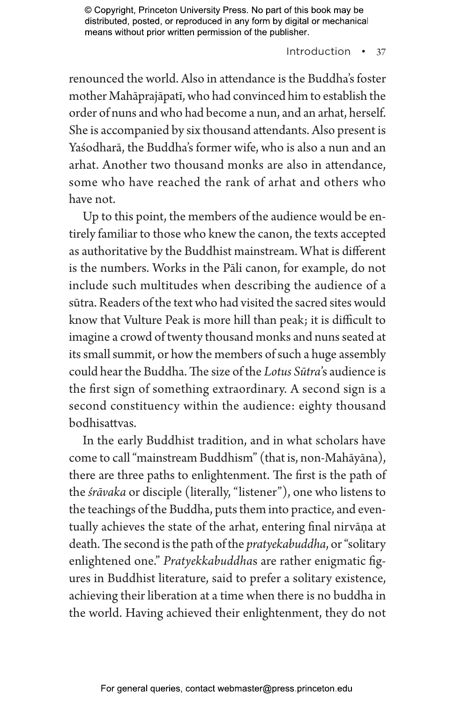#### Introduction • 37

renounced the world. Also in attendance is the Buddha's foster mother Mahāprajāpatī, who had convinced him to establish the order of nuns and who had become a nun, and an arhat, herself. She is accompanied by six thousand attendants. Also present is Yaśodharā, the Buddha's former wife, who is also a nun and an arhat. Another two thousand monks are also in attendance, some who have reached the rank of arhat and others who have not.

Up to this point, the members of the audience would be entirely familiar to those who knew the canon, the texts accepted as authoritative by the Buddhist mainstream. What is different is the numbers. Works in the Pāli canon, for example, do not include such multitudes when describing the audience of a sūtra. Readers of the text who had visited the sacred sites would know that Vulture Peak is more hill than peak; it is difficult to imagine a crowd of twenty thousand monks and nuns seated at its small summit, or how the members of such a huge assembly could hear the Buddha. The size of the *Lotus Sūtra*'s audience is the first sign of something extraordinary. A second sign is a second constituency within the audience: eighty thousand bodhisattvas.

In the early Buddhist tradition, and in what scholars have come to call "mainstream Buddhism" (that is, non-Mahāyāna), there are three paths to enlightenment. The first is the path of the *śrāvaka* or disciple (literally, "listener"), one who listens to the teachings of the Buddha, puts them into practice, and eventually achieves the state of the arhat, entering final nirvāṇa at death. The second is the path of the *pratyekabuddha*, or "solitary enlightened one." *Pratyekkabuddha*s are rather enigmatic figures in Buddhist literature, said to prefer a solitary existence, achieving their liberation at a time when there is no buddha in the world. Having achieved their enlightenment, they do not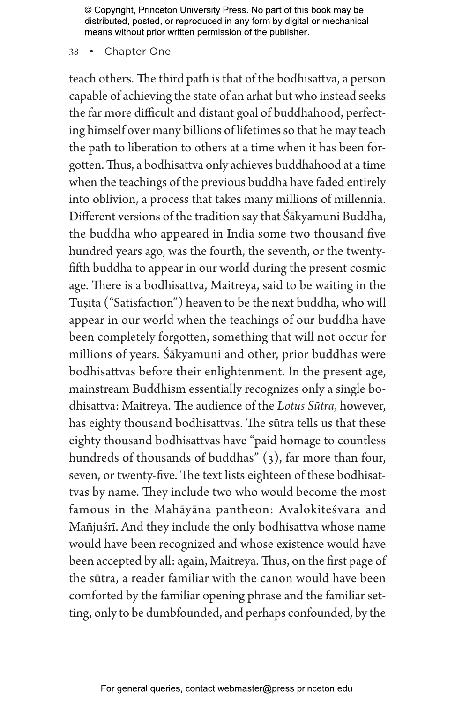38 • Chapter One

teach others. The third path is that of the bodhisattva, a person capable of achieving the state of an arhat but who instead seeks the far more difficult and distant goal of buddhahood, perfecting himself over many billions of lifetimes so that he may teach the path to liberation to others at a time when it has been forgotten. Thus, a bodhisattva only achieves buddhahood at a time when the teachings of the previous buddha have faded entirely into oblivion, a process that takes many millions of millennia. Different versions of the tradition say that Śākyamuni Buddha, the buddha who appeared in India some two thousand five hundred years ago, was the fourth, the seventh, or the twentyfifth buddha to appear in our world during the present cosmic age. There is a bodhisattva, Maitreya, said to be waiting in the Tuṣita ("Satisfaction") heaven to be the next buddha, who will appear in our world when the teachings of our buddha have been completely forgotten, something that will not occur for millions of years. Śākyamuni and other, prior buddhas were bodhisattvas before their enlightenment. In the present age, mainstream Buddhism essentially recognizes only a single bodhisattva: Maitreya. The audience of the *Lotus Sūtra*, however, has eighty thousand bodhisattvas. The sūtra tells us that these eighty thousand bodhisattvas have "paid homage to countless hundreds of thousands of buddhas" (3), far more than four, seven, or twenty-five. The text lists eighteen of these bodhisattvas by name. They include two who would become the most famous in the Mahāyāna pantheon: Avalokiteśvara and Mañjuśrī. And they include the only bodhisattva whose name would have been recognized and whose existence would have been accepted by all: again, Maitreya. Thus, on the first page of the sūtra, a reader familiar with the canon would have been comforted by the familiar opening phrase and the familiar setting, only to be dumbfounded, and perhaps confounded, by the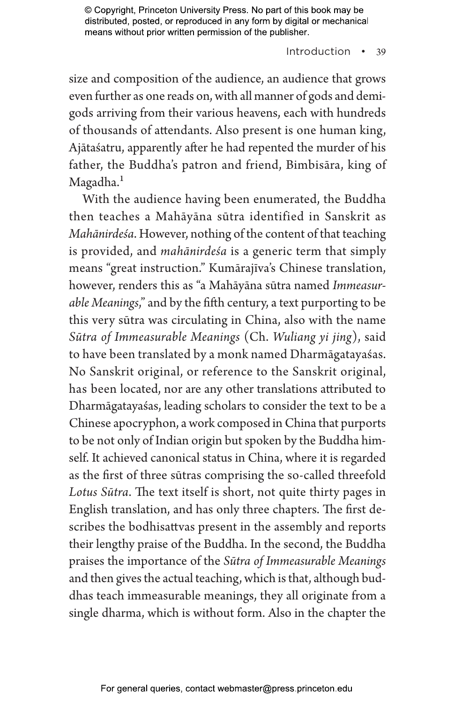## Introduction • 39

size and composition of the audience, an audience that grows even further as one reads on, with all manner of gods and demigods arriving from their various heavens, each with hundreds of thousands of attendants. Also present is one human king, Ajātaśatru, apparently after he had repented the murder of his father, the Buddha's patron and friend, Bimbisāra, king of Magadha.<sup>1</sup>

With the audience having been enumerated, the Buddha then teaches a Mahāyāna sūtra identified in Sanskrit as *Mahānirdeśa*. However, nothing of the content of that teaching is provided, and *mahānirdeśa* is a generic term that simply means "great instruction." Kumārajīva's Chinese translation, however, renders this as "a Mahāyāna sūtra named *Immeasurable Meanings*," and by the fifth century, a text purporting to be this very sūtra was circulating in China, also with the name *Sūtra of Immeasurable Meanings* (Ch. *Wuliang yi jing*), said to have been translated by a monk named Dharmāgatayaśas. No Sanskrit original, or reference to the Sanskrit original, has been located, nor are any other translations attributed to Dharmāgatayaśas, leading scholars to consider the text to be a Chinese apocryphon, a work composed in China that purports to be not only of Indian origin but spoken by the Buddha himself. It achieved canonical status in China, where it is regarded as the first of three sūtras comprising the so-called threefold *Lotus Sūtra*. The text itself is short, not quite thirty pages in English translation, and has only three chapters. The first describes the bodhisattvas present in the assembly and reports their lengthy praise of the Buddha. In the second, the Buddha praises the importance of the *Sūtra of Immeasurable Meanings* and then gives the actual teaching, which is that, although buddhas teach immeasurable meanings, they all originate from a single dharma, which is without form. Also in the chapter the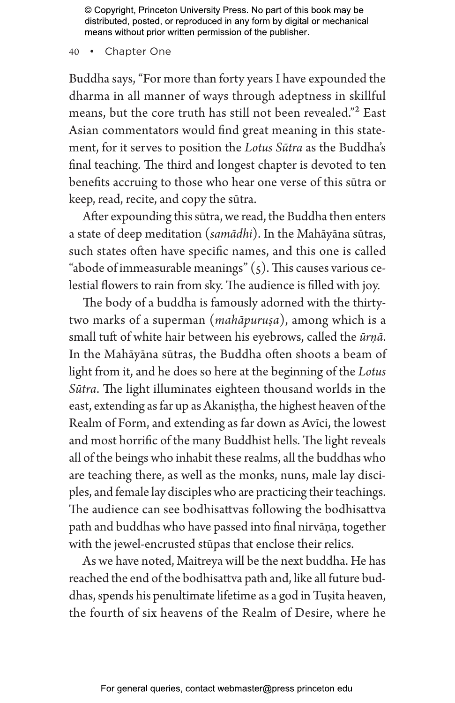40 • Chapter One

Buddha says, "For more than forty years I have expounded the dharma in all manner of ways through adeptness in skillful means, but the core truth has still not been revealed."2 East Asian commentators would find great meaning in this statement, for it serves to position the *Lotus Sūtra* as the Buddha's final teaching. The third and longest chapter is devoted to ten benefits accruing to those who hear one verse of this sūtra or keep, read, recite, and copy the sūtra.

After expounding this sūtra, we read, the Buddha then enters a state of deep meditation (*samādhi*). In the Mahāyāna sūtras, such states often have specific names, and this one is called "abode of immeasurable meanings"  $(5)$ . This causes various celestial flowers to rain from sky. The audience is filled with joy.

The body of a buddha is famously adorned with the thirtytwo marks of a superman (*mahāpuruṣa*), among which is a small tuft of white hair between his eyebrows, called the *ūrṇā*. In the Mahāyāna sūtras, the Buddha often shoots a beam of light from it, and he does so here at the beginning of the *Lotus Sūtra*. The light illuminates eighteen thousand worlds in the east, extending as far up as Akaniṣṭha, the highest heaven of the Realm of Form, and extending as far down as Avīci, the lowest and most horrific of the many Buddhist hells. The light reveals all of the beings who inhabit these realms, all the buddhas who are teaching there, as well as the monks, nuns, male lay disciples, and female lay disciples who are practicing their teachings. The audience can see bodhisattvas following the bodhisattva path and buddhas who have passed into final nirvāṇa, together with the jewel-encrusted stūpas that enclose their relics.

As we have noted, Maitreya will be the next buddha. He has reached the end of the bodhisattva path and, like all future buddhas, spends his penultimate lifetime as a god in Tuṣita heaven, the fourth of six heavens of the Realm of Desire, where he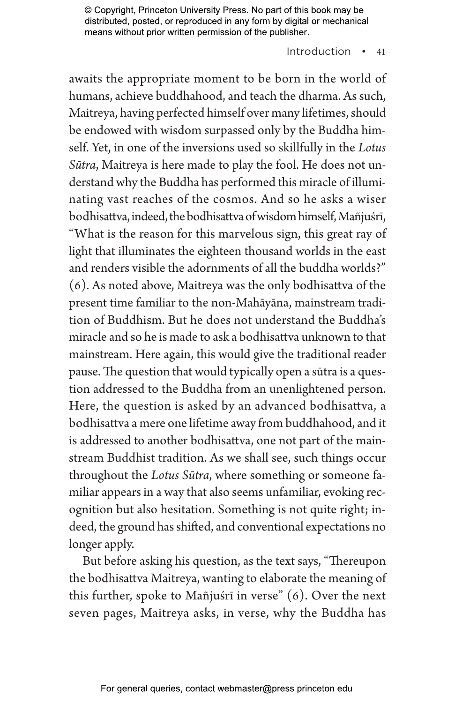## Introduction • 41

awaits the appropriate moment to be born in the world of humans, achieve buddhahood, and teach the dharma. As such, Maitreya, having perfected himself over many lifetimes, should be endowed with wisdom surpassed only by the Buddha himself. Yet, in one of the inversions used so skillfully in the *Lotus Sūtra*, Maitreya is here made to play the fool. He does not understand why the Buddha has performed this miracle of illuminating vast reaches of the cosmos. And so he asks a wiser bodhisattva, indeed, the bodhisattva of wisdom himself, Mañjuśrī, "What is the reason for this marvelous sign, this great ray of light that illuminates the eighteen thousand worlds in the east and renders visible the adornments of all the buddha worlds?" (6). As noted above, Maitreya was the only bodhisattva of the present time familiar to the non-Mahāyāna, mainstream tradition of Buddhism. But he does not understand the Buddha's miracle and so he is made to ask a bodhisattva unknown to that mainstream. Here again, this would give the traditional reader pause. The question that would typically open a sūtra is a question addressed to the Buddha from an unenlightened person. Here, the question is asked by an advanced bodhisattva, a bodhisattva a mere one lifetime away from buddhahood, and it is addressed to another bodhisattva, one not part of the mainstream Buddhist tradition. As we shall see, such things occur throughout the *Lotus Sūtra*, where something or someone familiar appears in a way that also seems unfamiliar, evoking recognition but also hesitation. Something is not quite right; indeed, the ground has shifted, and conventional expectations no longer apply.

But before asking his question, as the text says, "Thereupon the bodhisattva Maitreya, wanting to elaborate the meaning of this further, spoke to Mañjuśrī in verse"  $(6)$ . Over the next seven pages, Maitreya asks, in verse, why the Buddha has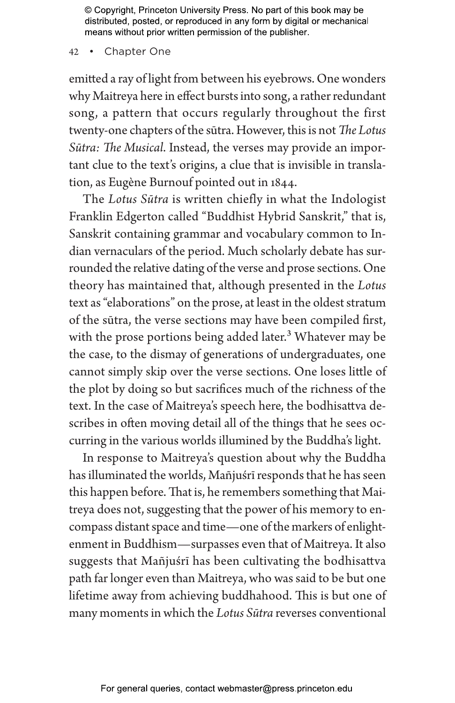42 • Chapter One

emitted a ray of light from between his eyebrows. One wonders why Maitreya here in effect bursts into song, a rather redundant song, a pattern that occurs regularly throughout the first twenty-one chapters of the sūtra. However, this is not *The Lotus Sūtra: The Musical*. Instead, the verses may provide an important clue to the text's origins, a clue that is invisible in translation, as Eugène Burnouf pointed out in 1844.

The *Lotus Sūtra* is written chiefly in what the Indologist Franklin Edgerton called "Buddhist Hybrid Sanskrit," that is, Sanskrit containing grammar and vocabulary common to Indian vernaculars of the period. Much scholarly debate has surrounded the relative dating of the verse and prose sections. One theory has maintained that, although presented in the *Lotus* text as "elaborations" on the prose, at least in the oldest stratum of the sūtra, the verse sections may have been compiled first, with the prose portions being added later.<sup>3</sup> Whatever may be the case, to the dismay of generations of undergraduates, one cannot simply skip over the verse sections. One loses little of the plot by doing so but sacrifices much of the richness of the text. In the case of Maitreya's speech here, the bodhisattva describes in often moving detail all of the things that he sees occurring in the various worlds illumined by the Buddha's light.

In response to Maitreya's question about why the Buddha has illuminated the worlds, Mañjuśrī responds that he has seen this happen before. That is, he remembers something that Maitreya does not, suggesting that the power of his memory to encompass distant space and time—one of the markers of enlightenment in Buddhism—surpasses even that of Maitreya. It also suggests that Mañjuśrī has been cultivating the bodhisattva path far longer even than Maitreya, who was said to be but one lifetime away from achieving buddhahood. This is but one of many moments in which the *Lotus Sūtra* reverses conventional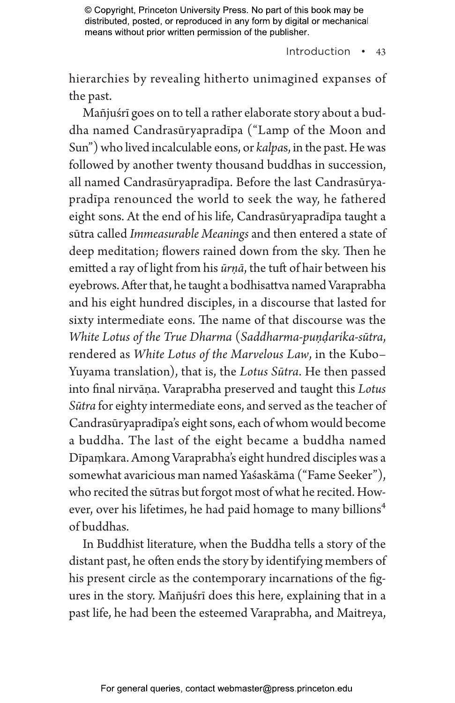Introduction • 43

hierarchies by revealing hitherto unimagined expanses of the past.

Mañjuśrī goes on to tell a rather elaborate story about a buddha named Candrasūryapradīpa ("Lamp of the Moon and Sun") who lived incalculable eons, or *kalpa*s, in the past. He was followed by another twenty thousand buddhas in succession, all named Candrasūryapradīpa. Before the last Candrasūryapradīpa renounced the world to seek the way, he fathered eight sons. At the end of his life, Candrasūryapradīpa taught a sūtra called *Immeasurable Meanings* and then entered a state of deep meditation; flowers rained down from the sky. Then he emitted a ray of light from his *ūrṇā*, the tuft of hair between his eyebrows. After that, he taught a bodhisattva named Varaprabha and his eight hundred disciples, in a discourse that lasted for sixty intermediate eons. The name of that discourse was the *White Lotus of the True Dharma* (*Saddharma-puṇḍarika-sūtra*, rendered as *White Lotus of the Marvelous Law*, in the Kubo– Yuyama translation), that is, the *Lotus Sūtra*. He then passed into final nirvāṇa. Varaprabha preserved and taught this *Lotus Sūtra* for eighty intermediate eons, and served as the teacher of Candrasūryapradīpa's eight sons, each of whom would become a buddha. The last of the eight became a buddha named Dīpaṃkara. Among Varaprabha's eight hundred disciples was a somewhat avaricious man named Yaśaskāma ("Fame Seeker"), who recited the sūtras but forgot most of what he recited. However, over his lifetimes, he had paid homage to many billions<sup>4</sup> of buddhas.

In Buddhist literature, when the Buddha tells a story of the distant past, he often ends the story by identifying members of his present circle as the contemporary incarnations of the figures in the story. Mañjuśrī does this here, explaining that in a past life, he had been the esteemed Varaprabha, and Maitreya,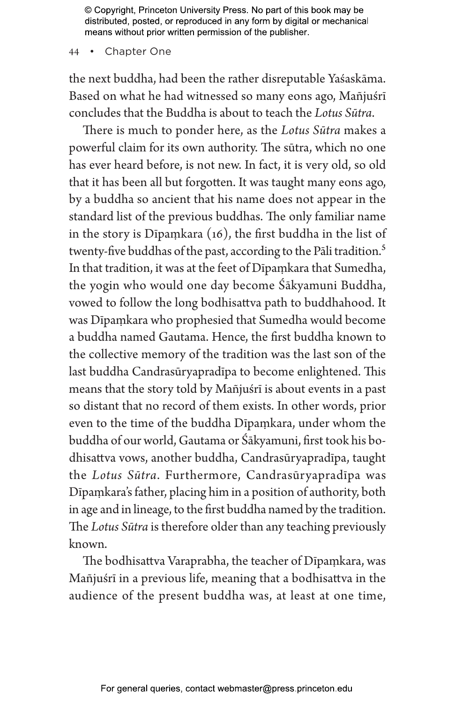#### 44 • Chapter One

the next buddha, had been the rather disreputable Yaśaskāma. Based on what he had witnessed so many eons ago, Mañjuśrī concludes that the Buddha is about to teach the *Lotus Sūtra*.

There is much to ponder here, as the *Lotus Sūtra* makes a powerful claim for its own authority. The sūtra, which no one has ever heard before, is not new. In fact, it is very old, so old that it has been all but forgotten. It was taught many eons ago, by a buddha so ancient that his name does not appear in the standard list of the previous buddhas. The only familiar name in the story is Dīpaṃkara (16), the first buddha in the list of twenty-five buddhas of the past, according to the Pāli tradition.<sup>5</sup> In that tradition, it was at the feet of Dīpaṃkara that Sumedha, the yogin who would one day become Śākyamuni Buddha, vowed to follow the long bodhisattva path to buddhahood. It was Dīpaṃkara who prophesied that Sumedha would become a buddha named Gautama. Hence, the first buddha known to the collective memory of the tradition was the last son of the last buddha Candrasūryapradīpa to become enlightened. This means that the story told by Mañjuśrī is about events in a past so distant that no record of them exists. In other words, prior even to the time of the buddha Dīpaṃkara, under whom the buddha of our world, Gautama or Śākyamuni, first took his bodhisattva vows, another buddha, Candrasūryapradīpa, taught the *Lotus Sūtra*. Furthermore, Candrasūryapradīpa was Dīpaṃkara's father, placing him in a position of authority, both in age and in lineage, to the first buddha named by the tradition. The *Lotus Sūtra* is therefore older than any teaching previously known.

The bodhisattva Varaprabha, the teacher of Dīpaṃkara, was Mañjuśrī in a previous life, meaning that a bodhisattva in the audience of the present buddha was, at least at one time,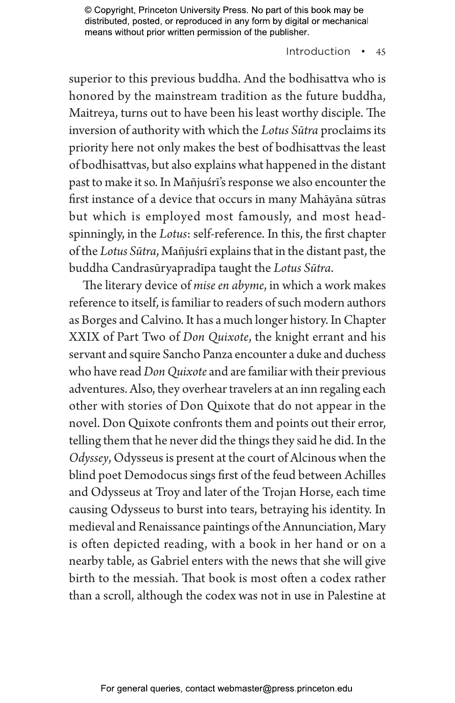## Introduction • 45

superior to this previous buddha. And the bodhisattva who is honored by the mainstream tradition as the future buddha, Maitreya, turns out to have been his least worthy disciple. The inversion of authority with which the *Lotus Sūtra* proclaims its priority here not only makes the best of bodhisattvas the least of bodhisattvas, but also explains what happened in the distant past to make it so. In Mañjuśrī's response we also encounter the first instance of a device that occurs in many Mahāyāna sūtras but which is employed most famously, and most headspinningly, in the *Lotus*: self-reference. In this, the first chapter of the *Lotus Sūtra*, Mañjuśrī explains that in the distant past, the buddha Candrasūryapradīpa taught the *Lotus Sūtra*.

The literary device of *mise en abyme*, in which a work makes reference to itself, is familiar to readers of such modern authors as Borges and Calvino. It has a much longer history. In Chapter XXIX of Part Two of *Don Quixote*, the knight errant and his servant and squire Sancho Panza encounter a duke and duchess who have read *Don Quixote* and are familiar with their previous adventures. Also, they overhear travelers at an inn regaling each other with stories of Don Quixote that do not appear in the novel. Don Quixote confronts them and points out their error, telling them that he never did the things they said he did. In the *Odyssey*, Odysseus is present at the court of Alcinous when the blind poet Demodocus sings first of the feud between Achilles and Odysseus at Troy and later of the Trojan Horse, each time causing Odysseus to burst into tears, betraying his identity. In medieval and Renaissance paintings of the Annunciation, Mary is often depicted reading, with a book in her hand or on a nearby table, as Gabriel enters with the news that she will give birth to the messiah. That book is most often a codex rather than a scroll, although the codex was not in use in Palestine at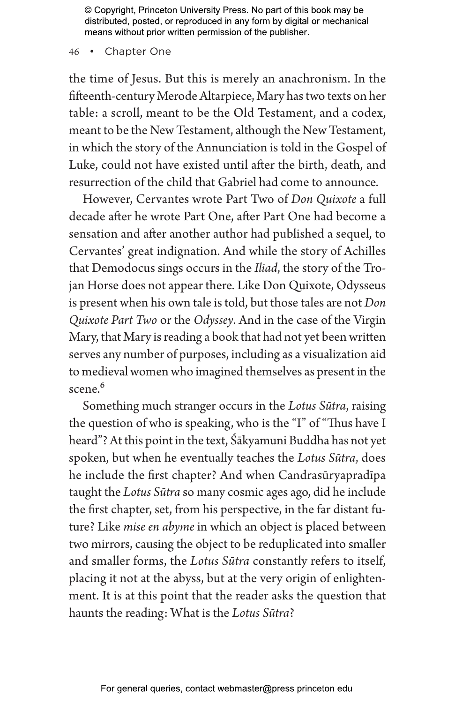#### 46 • Chapter One

the time of Jesus. But this is merely an anachronism. In the fifteenth-century Merode Altarpiece, Mary has two texts on her table: a scroll, meant to be the Old Testament, and a codex, meant to be the New Testament, although the New Testament, in which the story of the Annunciation is told in the Gospel of Luke, could not have existed until after the birth, death, and resurrection of the child that Gabriel had come to announce.

However, Cervantes wrote Part Two of *Don Quixote* a full decade after he wrote Part One, after Part One had become a sensation and after another author had published a sequel, to Cervantes' great indignation. And while the story of Achilles that Demodocus sings occurs in the *Iliad*, the story of the Trojan Horse does not appear there. Like Don Quixote, Odysseus is present when his own tale is told, but those tales are not *Don Quixote Part Two* or the *Odyssey*. And in the case of the Virgin Mary, that Mary is reading a book that had not yet been written serves any number of purposes, including as a visualization aid to medieval women who imagined themselves as present in the scene $6$ 

Something much stranger occurs in the *Lotus Sūtra*, raising the question of who is speaking, who is the "I" of "Thus have I heard"? At this point in the text, Śākyamuni Buddha has not yet spoken, but when he eventually teaches the *Lotus Sūtra*, does he include the first chapter? And when Candrasūryapradīpa taught the *Lotus Sūtra* so many cosmic ages ago, did he include the first chapter, set, from his perspective, in the far distant future? Like *mise en abyme* in which an object is placed between two mirrors, causing the object to be reduplicated into smaller and smaller forms, the *Lotus Sūtra* constantly refers to itself, placing it not at the abyss, but at the very origin of enlightenment. It is at this point that the reader asks the question that haunts the reading: What is the *Lotus Sūtra*?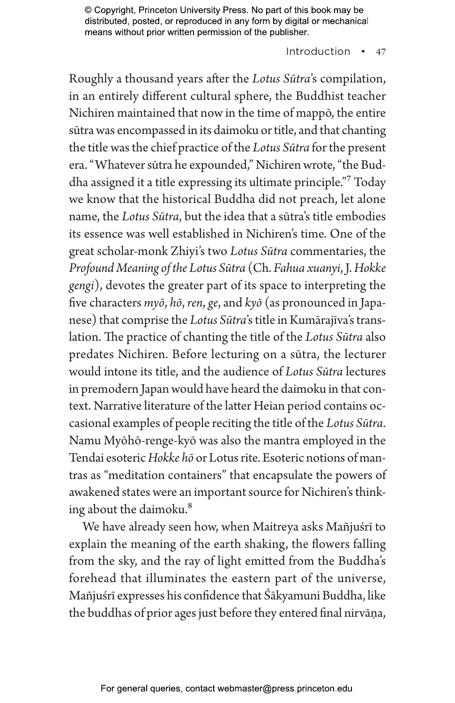## Introduction • 47

Roughly a thousand years after the *Lotus Sūtra*'s compilation, in an entirely different cultural sphere, the Buddhist teacher Nichiren maintained that now in the time of mappō, the entire sūtra was encompassed in its daimoku or title, and that chanting the title was the chief practice of the *Lotus Sūtra* for the present era. "Whatever sūtra he expounded," Nichiren wrote, "the Buddha assigned it a title expressing its ultimate principle."7 Today we know that the historical Buddha did not preach, let alone name, the *Lotus Sūtra*, but the idea that a sūtra's title embodies its essence was well established in Nichiren's time. One of the great scholar-monk Zhiyi's two *Lotus Sūtra* commentaries, the *Profound Meaning of the Lotus Sūtra* (Ch. *Fahua xuanyi*, J. *Hokke gengi*), devotes the greater part of its space to interpreting the five characters *myō*, *hō*, *ren*, *ge*, and *kyō* (as pronounced in Japanese) that comprise the *Lotus Sūtra*'s title in Kumārajīva's translation. The practice of chanting the title of the *Lotus Sūtra* also predates Nichiren. Before lecturing on a sūtra, the lecturer would intone its title, and the audience of *Lotus Sūtra* lectures in premodern Japan would have heard the daimoku in that context. Narrative literature of the latter Heian period contains occasional examples of people reciting the title of the *Lotus Sūtra*. Namu Myōhō-renge-kyō was also the mantra employed in the Tendai esoteric *Hokke hō* or Lotus rite. Esoteric notions of mantras as "meditation containers" that encapsulate the powers of awakened states were an important source for Nichiren's thinking about the daimoku.<sup>8</sup>

We have already seen how, when Maitreya asks Mañjuśrī to explain the meaning of the earth shaking, the flowers falling from the sky, and the ray of light emitted from the Buddha's forehead that illuminates the eastern part of the universe, Mañjuśrī expresses his confidence that Śākyamuni Buddha, like the buddhas of prior ages just before they entered final nirvāṇa,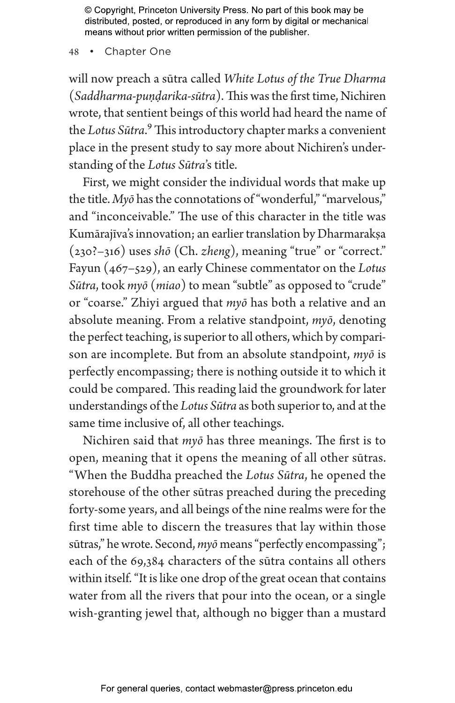48 • Chapter One

will now preach a sūtra called *White Lotus of the True Dharma* (*Saddharma-puṇḍarika-sūtra*). This was the first time, Nichiren wrote, that sentient beings of this world had heard the name of the *Lotus Sūtra*.9 This introductory chapter marks a convenient place in the present study to say more about Nichiren's understanding of the *Lotus Sūtra*'s title.

First, we might consider the individual words that make up the title. *Myō* has the connotations of "wonderful," "marvelous," and "inconceivable." The use of this character in the title was Kumārajīva's innovation; an earlier translation by Dharmaraksa (230?–316) uses *shō* (Ch. *zheng*), meaning "true" or "correct." Fayun (467–529), an early Chinese commentator on the *Lotus Sūtra*, took *myō* (*miao*) to mean "subtle" as opposed to "crude" or "coarse." Zhiyi argued that *myō* has both a relative and an absolute meaning. From a relative standpoint, *myō*, denoting the perfect teaching, is superior to all others, which by comparison are incomplete. But from an absolute standpoint, *myō* is perfectly encompassing; there is nothing outside it to which it could be compared. This reading laid the groundwork for later understandings of the *Lotus Sūtra* as both superior to, and at the same time inclusive of, all other teachings.

Nichiren said that *myō* has three meanings. The first is to open, meaning that it opens the meaning of all other sūtras. "When the Buddha preached the *Lotus Sūtra*, he opened the storehouse of the other sūtras preached during the preceding forty-some years, and all beings of the nine realms were for the first time able to discern the treasures that lay within those sūtras," he wrote. Second, *myō* means "perfectly encompassing"; each of the 69,384 characters of the sūtra contains all others within itself. "It is like one drop of the great ocean that contains water from all the rivers that pour into the ocean, or a single wish-granting jewel that, although no bigger than a mustard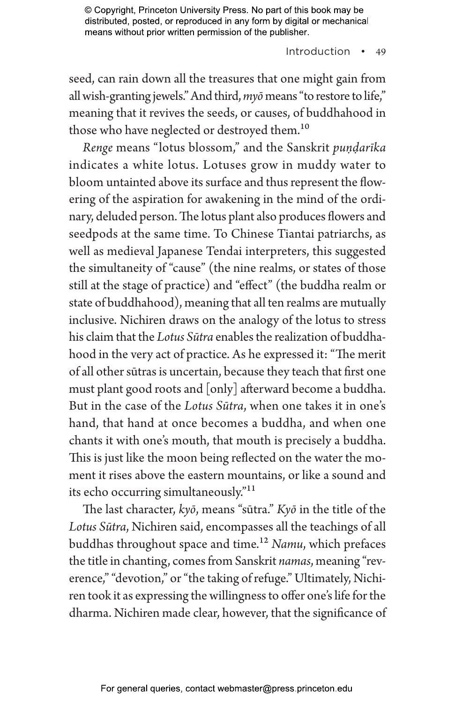## Introduction • 49

seed, can rain down all the treasures that one might gain from all wish-granting jewels." And third, *myō* means "to restore to life," meaning that it revives the seeds, or causes, of buddhahood in those who have neglected or destroyed them.<sup>10</sup>

*Renge* means "lotus blossom," and the Sanskrit *puṇḍarīka* indicates a white lotus. Lotuses grow in muddy water to bloom untainted above its surface and thus represent the flowering of the aspiration for awakening in the mind of the ordinary, deluded person. The lotus plant also produces flowers and seedpods at the same time. To Chinese Tiantai patriarchs, as well as medieval Japanese Tendai interpreters, this suggested the simultaneity of "cause" (the nine realms, or states of those still at the stage of practice) and "effect" (the buddha realm or state of buddhahood), meaning that all ten realms are mutually inclusive. Nichiren draws on the analogy of the lotus to stress his claim that the *Lotus Sūtra* enables the realization of buddhahood in the very act of practice. As he expressed it: "The merit of all other sūtras is uncertain, because they teach that first one must plant good roots and [only] afterward become a buddha. But in the case of the *Lotus Sūtra*, when one takes it in one's hand, that hand at once becomes a buddha, and when one chants it with one's mouth, that mouth is precisely a buddha. This is just like the moon being reflected on the water the moment it rises above the eastern mountains, or like a sound and its echo occurring simultaneously."11

The last character, *kyō*, means "sūtra." *Kyō* in the title of the *Lotus Sūtra*, Nichiren said, encompasses all the teachings of all buddhas throughout space and time.12 *Namu*, which prefaces the title in chanting, comes from Sanskrit *namas*, meaning "reverence," "devotion," or "the taking of refuge." Ultimately, Nichiren took it as expressing the willingness to offer one's life for the dharma. Nichiren made clear, however, that the significance of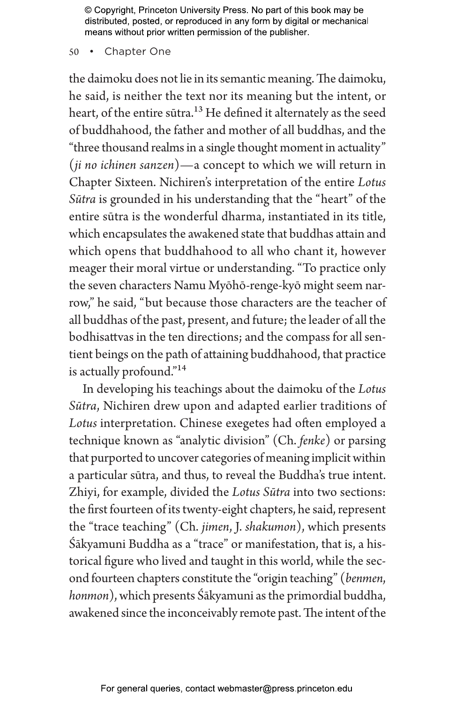50 • Chapter One

the daimoku does not lie in its semantic meaning. The daimoku, he said, is neither the text nor its meaning but the intent, or heart, of the entire sūtra.<sup>13</sup> He defined it alternately as the seed of buddhahood, the father and mother of all buddhas, and the "three thousand realms in a single thought moment in actuality" (*ji no ichinen sanzen*)—a concept to which we will return in Chapter Sixteen. Nichiren's interpretation of the entire *Lotus Sūtra* is grounded in his understanding that the "heart" of the entire sūtra is the wonderful dharma, instantiated in its title, which encapsulates the awakened state that buddhas attain and which opens that buddhahood to all who chant it, however meager their moral virtue or understanding. "To practice only the seven characters Namu Myōhō-renge-kyō might seem narrow," he said, "but because those characters are the teacher of all buddhas of the past, present, and future; the leader of all the bodhisattvas in the ten directions; and the compass for all sentient beings on the path of attaining buddhahood, that practice is actually profound."14

In developing his teachings about the daimoku of the *Lotus Sūtra*, Nichiren drew upon and adapted earlier traditions of *Lotus* interpretation. Chinese exegetes had often employed a technique known as "analytic division" (Ch. *fenke*) or parsing that purported to uncover categories of meaning implicit within a particular sūtra, and thus, to reveal the Buddha's true intent. Zhiyi, for example, divided the *Lotus Sūtra* into two sections: the first fourteen of its twenty-eight chapters, he said, represent the "trace teaching" (Ch. *jimen*, J. *shakumon*), which presents Śākyamuni Buddha as a "trace" or manifestation, that is, a historical figure who lived and taught in this world, while the second fourteen chapters constitute the "origin teaching" (*benmen*, *honmon*), which presents Śākyamuni as the primordial buddha, awakened since the inconceivably remote past. The intent of the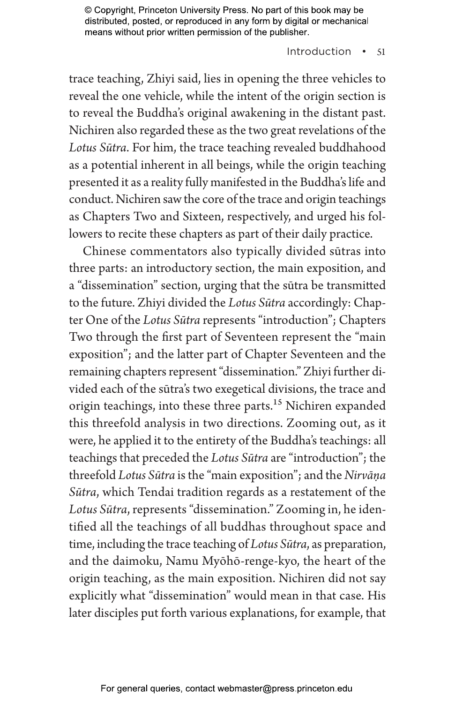## Introduction • 51

trace teaching, Zhiyi said, lies in opening the three vehicles to reveal the one vehicle, while the intent of the origin section is to reveal the Buddha's original awakening in the distant past. Nichiren also regarded these as the two great revelations of the *Lotus Sūtra*. For him, the trace teaching revealed buddhahood as a potential inherent in all beings, while the origin teaching presented it as a reality fully manifested in the Buddha's life and conduct. Nichiren saw the core of the trace and origin teachings as Chapters Two and Sixteen, respectively, and urged his followers to recite these chapters as part of their daily practice.

Chinese commentators also typically divided sūtras into three parts: an introductory section, the main exposition, and a "dissemination" section, urging that the sūtra be transmitted to the future. Zhiyi divided the *Lotus Sūtra* accordingly: Chapter One of the *Lotus Sūtra* represents "introduction"; Chapters Two through the first part of Seventeen represent the "main exposition"; and the latter part of Chapter Seventeen and the remaining chapters represent "dissemination." Zhiyi further divided each of the sūtra's two exegetical divisions, the trace and origin teachings, into these three parts.<sup>15</sup> Nichiren expanded this threefold analysis in two directions. Zooming out, as it were, he applied it to the entirety of the Buddha's teachings: all teachings that preceded the *Lotus Sūtra* are "introduction"; the threefold *Lotus Sūtra* is the "main exposition"; and the *Nirvāṇa Sūtra*, which Tendai tradition regards as a restatement of the *Lotus Sūtra*, represents "dissemination." Zooming in, he identified all the teachings of all buddhas throughout space and time, including the trace teaching of *Lotus Sūtra*, as preparation, and the daimoku, Namu Myōhō-renge-kyo, the heart of the origin teaching, as the main exposition. Nichiren did not say explicitly what "dissemination" would mean in that case. His later disciples put forth various explanations, for example, that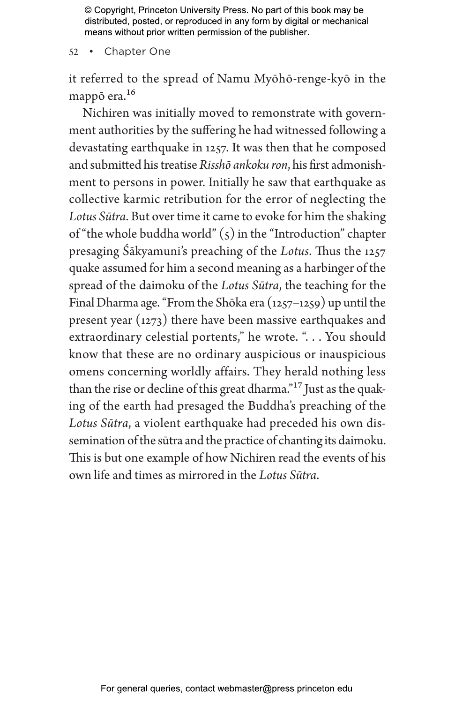52 • Chapter One

it referred to the spread of Namu Myōhō-renge-kyō in the mappō era.<sup>16</sup>

Nichiren was initially moved to remonstrate with government authorities by the suffering he had witnessed following a devastating earthquake in 1257. It was then that he composed and submitted his treatise *Risshō ankoku ron*, his first admonishment to persons in power. Initially he saw that earthquake as collective karmic retribution for the error of neglecting the *Lotus Sūtra*. But over time it came to evoke for him the shaking of "the whole buddha world"  $(5)$  in the "Introduction" chapter presaging Śākyamuni's preaching of the *Lotus*. Thus the 1257 quake assumed for him a second meaning as a harbinger of the spread of the daimoku of the *Lotus Sūtra*, the teaching for the Final Dharma age. "From the Shōka era (1257–1259) up until the present year (1273) there have been massive earthquakes and extraordinary celestial portents," he wrote. ". . . You should know that these are no ordinary auspicious or inauspicious omens concerning worldly affairs. They herald nothing less than the rise or decline of this great dharma."17 Just as the quaking of the earth had presaged the Buddha's preaching of the *Lotus Sūtra*, a violent earthquake had preceded his own dissemination of the sūtra and the practice of chanting its daimoku. This is but one example of how Nichiren read the events of his own life and times as mirrored in the *Lotus Sūtra*.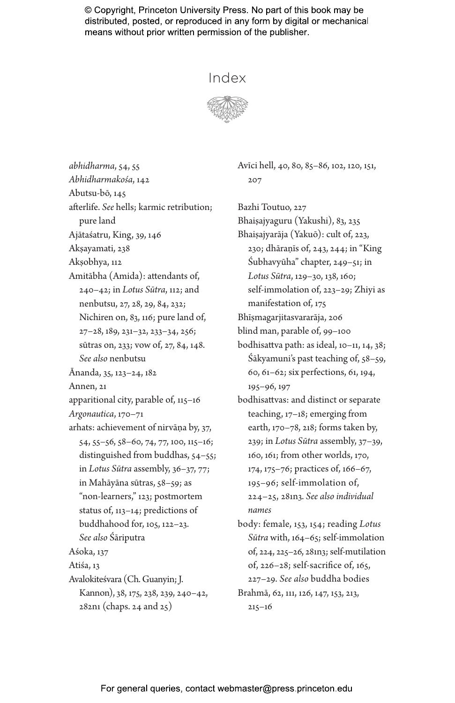



*abhidharma*, 54, 55 *Abhidharmakośa*, 142 Abutsu-bō, 145 aft erlife. *See* hells; karmic retribution; pure land Ajātaśatru, King, 39, 146 Akṣayamati, 238 Akṣobhya, 112 Amitābha (Amida): attendants of, 240–42; in *Lotus Sūtra*, 112; and nenbutsu, 27, 28, 29, 84, 232; Nichiren on, 83, 116; pure land of, 27–28, 189, 231–32, 233–34, 256; sūtras on, 233; vow of, 27, 84, 148. *See also* nenbutsu Ānanda, 35, 123–24, 182 Annen, 21 apparitional city, parable of, 115–16 *Argonautica*, 170–71 arhats: achievement of nirvāṇa by, 37, 54, 55–56, 58–60, 74, 77, 100, 115–16; distinguished from buddhas, 54–55; in *Lotus Sūtra* assembly, 36–37, 77; in Mahāyāna sūtras, 58–59; as "non-learners," 123; postmortem status of, 113–14; predictions of buddhahood for, 105, 122–23. *See also* Śāriputra Aśoka, 137 Atiśa, 13 Avalokiteśvara (Ch. Guanyin; J. Kannon), 38, 175, 238, 239, 240–42, 282n1 (chaps. 24 and 25)

Avīci hell, 40, 80, 85–86, 102, 120, 151, 207

Bazhi Toutuo, 227 Bhaiṣajyaguru (Yakushi), 83, 235 Bhaiṣajyarāja (Yakuō): cult of, 223, 230; dhāraṇīs of, 243, 244; in "King Śubhavyūha" chapter, 249–51; in *Lotus Sūtra*, 129–30, 138, 160; self-immolation of, 223-29; Zhiyi as manifestation of, 175 Bhīṣmagarjitasvararāja, 206 blind man, parable of, 99–100 bodhisattva path: as ideal, 10-11, 14, 38; Śākyamuni's past teaching of, 58–59, 60, 61–62; six perfections, 61, 194, 195–96, 197 bodhisatt vas: and distinct or separate teaching, 17–18; emerging from earth, 170–78, 218; forms taken by, 239; in *Lotus Sūtra* assembly, 37–39, 160, 161; from other worlds, 170, 174, 175–76; practices of, 166–67, 195-96; self-immolation of, 224–25, 281n3. *See also individual names* body: female, 153, 154; reading *Lotus*  Sūtra with, 164-65; self-immolation

of, 224, 225–26, 281n3; self- mutilation of,  $226 - 28$ ; self-sacrifice of,  $165$ , 227–29. *See also* buddha bodies

Brahmā, 62, 111, 126, 147, 153, 213, 215–16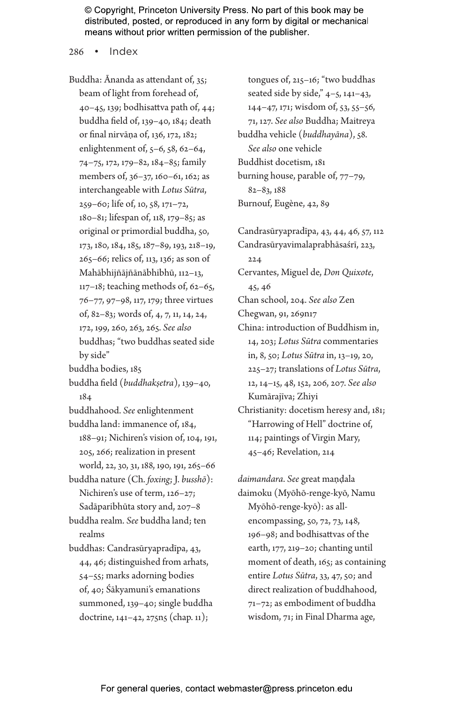286 • Index

Buddha: Ānanda as attendant of, 35; beam of light from forehead of, 40–45, 139; bodhisattva path of, 44; buddha field of, 139–40, 184; death or final nirvāṇa of, 136, 172, 182; enlightenment of, 5–6, 58, 62–64, 74–75, 172, 179–82, 184–85; family members of, 36–37, 160–61, 162; as interchangeable with *Lotus Sūtra*, 259–60; life of, 10, 58, 171–72, 180–81; lifespan of, 118, 179–85; as original or primordial buddha, 50, 173, 180, 184, 185, 187–89, 193, 218–19, 265–66; relics of, 113, 136; as son of Mahābhijñājñānābhibhū, 112–13,  $117-18$ ; teaching methods of,  $62-65$ , 76–77, 97–98, 117, 179; three virtues of, 82–83; words of, 4, 7, 11, 14, 24, 172, 199, 260, 263, 265. *See also* buddhas; "two buddhas seated side by side" buddha bodies, 185 buddha field (*buddhakṣetra*), 139–40, 184 buddhahood. *See* enlightenment buddha land: immanence of, 184, 188–91; Nichiren's vision of, 104, 191, 205, 266; realization in present world, 22, 30, 31, 188, 190, 191, 265–66 buddha nature (Ch. *foxing*; J. *busshō*): Nichiren's use of term, 126–27; Sadāparibhūta story and, 207–8 buddha realm. *See* buddha land; ten realms buddhas: Candrasūryapradīpa, 43, 44, 46; distinguished from arhats, 54–55; marks adorning bodies of, 40; Śākyamuni's emanations summoned, 139–40; single buddha doctrine, 141–42, 275n5 (chap. 11);

tongues of, 215–16; "two buddhas seated side by side,"  $4-5$ ,  $141-43$ , 144–47, 171; wisdom of, 53, 55–56, 71, 127. *See also* Buddha; Maitreya buddha vehicle (*buddhayāna*), 58. *See also* one vehicle Buddhist docetism, 181 burning house, parable of, 77–79, 82–83, 188 Burnouf, Eugène, 42, 89

Candrasūryapradīpa, 43, 44, 46, 57, 112 Candrasūryavimalaprabhāsaśrī, 223, 224 Cervantes, Miguel de, *Don Quixote*, 45, 46 Chan school, 204. *See also* Zen Chegwan, 91, 269n17 China: introduction of Buddhism in, 14, 203; *Lotus Sūtra* commentaries in, 8, 50; *Lotus Sūtra* in, 13–19, 20, 225–27; translations of *Lotus Sūtra*, 12, 14–15, 48, 152, 206, 207. *See also* Kumārajīva; Zhiyi Christianity: docetism heresy and, 181; "Harrowing of Hell" doctrine of, 114; paintings of Virgin Mary,

*daimandara*. *See* great maṇḍala daimoku (Myōhō-renge-kyō, Namu Myōhō-renge-kyō): as allencompassing, 50, 72, 73, 148, 196–98; and bodhisattvas of the earth, 177, 219–20; chanting until moment of death, 165; as containing entire *Lotus Sūtra*, 33, 47, 50; and direct realization of buddhahood, 71–72; as embodiment of buddha wisdom, 71; in Final Dharma age,

45–46; Revelation, 214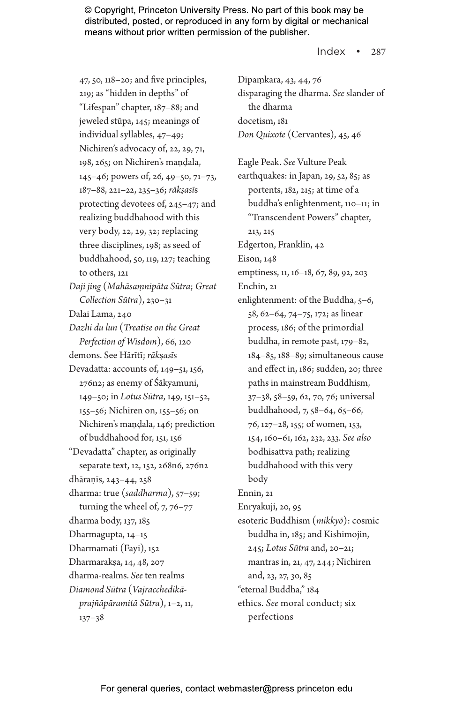Dīpaṃkara, 43, 44, 76

Index • 287

47, 50, 118–20; and five principles, 219; as "hidden in depths" of "Lifespan" chapter, 187–88; and jeweled stūpa, 145; meanings of individual syllables, 47–49; Nichiren's advocacy of, 22, 29, 71, 198, 265; on Nichiren's maṇḍala, 145–46; powers of, 26, 49–50, 71–73, 187–88, 221–22, 235–36; *rākṣasī*s protecting devotees of, 245–47; and realizing buddhahood with this very body, 22, 29, 32; replacing three disciplines, 198; as seed of buddhahood, 50, 119, 127; teaching to others, 121 *Daji jing* (*Mahāsaṃnipāta Sūtra*; *Great Collection Sūtra*), 230–31 Dalai Lama, 240 *Dazhi du lun* (*Treatise on the Great Perfection of Wisdom*), 66, 120 demons. See Hārītī; *rāk*ṣ*asī*s Devadatta: accounts of, 149–51, 156, 276n2; as enemy of Śākyamuni, 149–50; in *Lotus Sūtra*, 149, 151–52, 155–56; Nichiren on, 155–56; on Nichiren's maṇḍala, 146; prediction of buddhahood for, 151, 156 "Devadatta" chapter, as originally separate text, 12, 152, 268n6, 276n2 dhāraṇīs, 243–44, 258 dharma: true (*saddharma*), 57–59; turning the wheel of, 7, 76–77 dharma body, 137, 185 Dharmagupta, 14–15 Dharmamati (Fayi), 152 Dharmarakṣa, 14, 48, 207 dharma-realms. *See* ten realms *Diamond Sūtra* (*Vajracchedikāprajñāpāramitā Sūtra*), 1–2, 11, 137–38

disparaging the dharma. *See* slander of the dharma docetism, 181 *Don Quixote* (Cervantes), 45, 46 Eagle Peak. *See* Vulture Peak earthquakes: in Japan, 29, 52, 85; as portents, 182, 215; at time of a buddha's enlightenment, 110–11; in "Transcendent Powers" chapter, 213, 215 Edgerton, Franklin, 42 Eison, 148 emptiness, 11, 16-18, 67, 89, 92, 203 Enchin, 21 enlightenment: of the Buddha, 5–6, 58, 62–64, 74–75, 172; as linear process, 186; of the primordial buddha, in remote past, 179–82, 184–85, 188–89; simultaneous cause and effect in, 186; sudden, 20; three paths in mainstream Buddhism, 37–38, 58–59, 62, 70, 76; universal buddhahood, 7, 58–64, 65–66, 76, 127–28, 155; of women, 153, 154, 160–61, 162, 232, 233. *See also* bodhisattva path; realizing buddhahood with this very body Ennin, 21 Enryakuji, 20, 95 esoteric Buddhism (*mikkyō*): cosmic buddha in, 185; and Kishimojin, 245; *Lotus Sūtra* and, 20–21; mantras in, 21, 47, 244; Nichiren and, 23, 27, 30, 85 "eternal Buddha," 184 ethics. *See* moral conduct; six perfections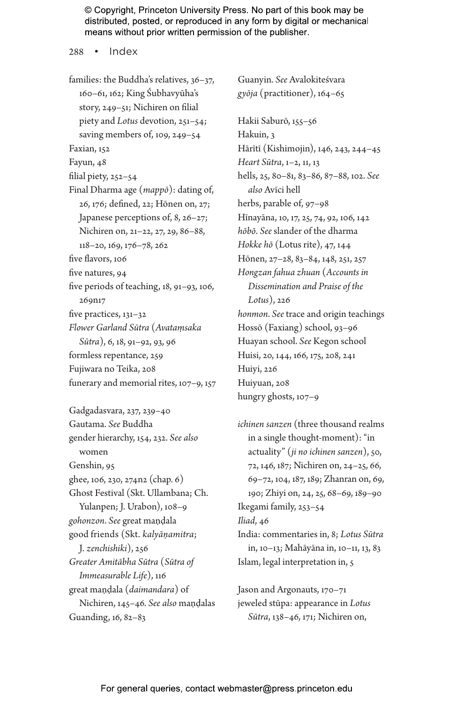288 • Index

families: the Buddha's relatives, 36–37, 160–61, 162; King Śubhavyūha's story, 249–51; Nichiren on filial piety and *Lotus* devotion, 251–54; saving members of, 109, 249–54 Faxian, 152 Fayun, 48 filial piety, 252–54 Final Dharma age (*mappō*): dating of, 26, 176; defined, 22; Hōnen on, 27; Japanese perceptions of, 8, 26–27; Nichiren on, 21–22, 27, 29, 86–88, 118–20, 169, 176–78, 262 five flavors, 106 five natures, 94 five periods of teaching, 18, 91–93, 106, 269n17 five practices, 131–32 *Flower Garland Sūtra* (*Avataṃsaka Sūtra*), 6, 18, 91–92, 93, 96 formless repentance, 259 Fujiwara no Teika, 208 funerary and memorial rites, 107–9, 157 Gadgadasvara, 237, 239–40 Gautama. *See* Buddha gender hierarchy, 154, 232. *See also* women Genshin, 95 ghee, 106, 230, 274n2 (chap. 6) Ghost Festival (Skt. Ullambana; Ch. Yulanpen; J. Urabon), 108–9 *gohonzon*. *See* great maṇḍala good friends (Skt. *kalyāṇamitra*; J. *zenchishiki*), 256 *Greater Amitābha Sūtra* (*Sūtra of* 

*Immeasurable Life*), 116 great maṇḍala (*daimandara*) of

Guanding, 16, 82–83

Nichiren, 145–46. *See also* maṇḍalas

Guanyin. *See* Avalokiteśvara *gyōja* (practitioner), 164–65 Hakii Saburō, 155–56 Hakuin, 3 Hārītī (Kishimojin), 146, 243, 244–45 *Heart Sūtra*, 1–2, 11, 13 hells, 25, 80–81, 83–86, 87–88, 102. *See also* Avīci hell herbs, parable of, 97–98 Hīnayāna, 10, 17, 25, 74, 92, 106, 142 *hōbō*. *See* slander of the dharma *Hokke hō* (Lotus rite), 47, 144 Hōnen, 27–28, 83–84, 148, 251, 257 *Hongzan fahua zhuan* (*Accounts in Dissemination and Praise of the Lotus*), 226 *honmon*. *See* trace and origin teachings Hossō (Faxiang) school, 93–96 Huayan school. *See* Kegon school Huisi, 20, 144, 166, 175, 208, 241 Huiyi, 226 Huiyuan, 208 hungry ghosts, 107–9

*ichinen sanzen* (three thousand realms in a single thought-moment): "in actuality" (*ji no ichinen sanzen*), 50, 72, 146, 187; Nichiren on, 24–25, 66, 69–72, 104, 187, 189; Zhanran on, 69, 190; Zhiyi on, 24, 25, 68–69, 189–90 Ikegami family, 253–54 *Iliad*, 46 India: commentaries in, 8; *Lotus Sūtra* in, 10–13; Mahāyāna in, 10–11, 13, 83 Islam, legal interpretation in, 5

Jason and Argonauts, 170–71 jeweled stūpa: appearance in *Lotus Sūtra*, 138–46, 171; Nichiren on,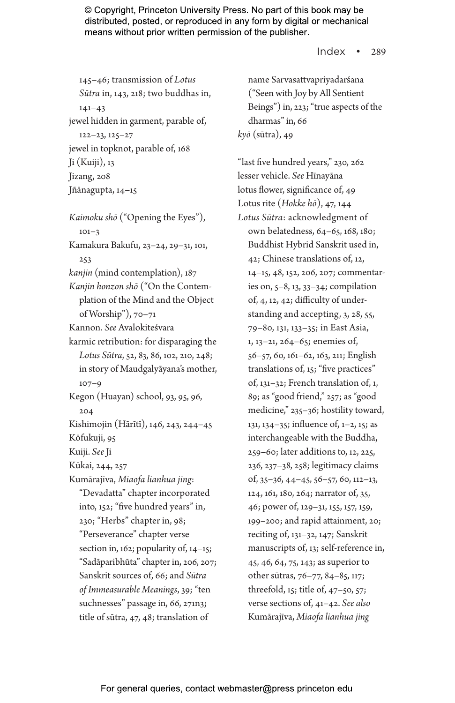Index • 289

145–46; transmission of *Lotus Sūtra* in, 143, 218; two buddhas in,  $141 - 43$ jewel hidden in garment, parable of, 122–23, 125–27 jewel in topknot, parable of, 168 Ji (Kuiji), 13 Jizang, 208 Jñānagupta, 14–15

*Kaimoku shō* ("Opening the Eyes"),  $101 - 3$ Kamakura Bakufu, 23–24, 29–31, 101, 253 *kanjin* (mind contemplation), 187 *Kanjin honzon shō* ("On the Contemplation of the Mind and the Object of Worship"), 70–71 Kannon. *See* Avalokiteśvara karmic retribution: for disparaging the *Lotus Sūtra*, 52, 83, 86, 102, 210, 248; in story of Maudgalyāyana's mother, 107–9 Kegon (Huayan) school, 93, 95, 96, 204 Kishimojin (Hārītī), 146, 243, 244–45 Kōfukuji, 95 Kuiji. *See* Ji Kūkai, 244, 257 Kumārajīva, *Miaofa lianhua jing*: "Devadatta" chapter incorporated into, 152; "five hundred years" in, 230; "Herbs" chapter in, 98; "Perseverance" chapter verse section in, 162; popularity of, 14–15; "Sadāparibhūta" chapter in, 206, 207; Sanskrit sources of, 66; and *Sūtra of Immeasurable Meanings*, 39; "ten suchnesses" passage in, 66, 271n3; title of sūtra, 47, 48; translation of

name Sarvasattvapriyadarśana ("Seen with Joy by All Sentient Beings") in, 223; "true aspects of the dharmas" in, 66 *kyō* (sūtra), 49

"last five hundred years," 230, 262 lesser vehicle. *See* Hīnayāna lotus flower, significance of, 49 Lotus rite (*Hokke hō*), 47, 144 *Lotus Sūtra*: acknowledgment of own belatedness, 64–65, 168, 180; Buddhist Hybrid Sanskrit used in, 42; Chinese translations of, 12, 14–15, 48, 152, 206, 207; commentaries on, 5–8, 13, 33–34; compilation of, 4, 12, 42; difficulty of understanding and accepting, 3, 28, 55, 79–80, 131, 133–35; in East Asia, 1, 13–21, 264–65; enemies of, 56–57, 60, 161–62, 163, 211; English translations of, 15; "five practices" of, 131–32; French translation of, 1, 89; as "good friend," 257; as "good medicine," 235–36; hostility toward, 131, 134–35; influence of, 1–2, 15; as interchangeable with the Buddha, 259–60; later additions to, 12, 225, 236, 237–38, 258; legitimacy claims of, 35–36, 44–45, 56–57, 60, 112–13, 124, 161, 180, 264; narrator of, 35, 46; power of, 129–31, 155, 157, 159, 199–200; and rapid attainment, 20; reciting of, 131–32, 147; Sanskrit manuscripts of, 13; self-reference in, 45, 46, 64, 75, 143; as superior to other sūtras, 76–77, 84–85, 117; threefold, 15; title of, 47–50, 57; verse sections of, 41–42. *See also* Kumārajīva, *Miaofa lianhua jing*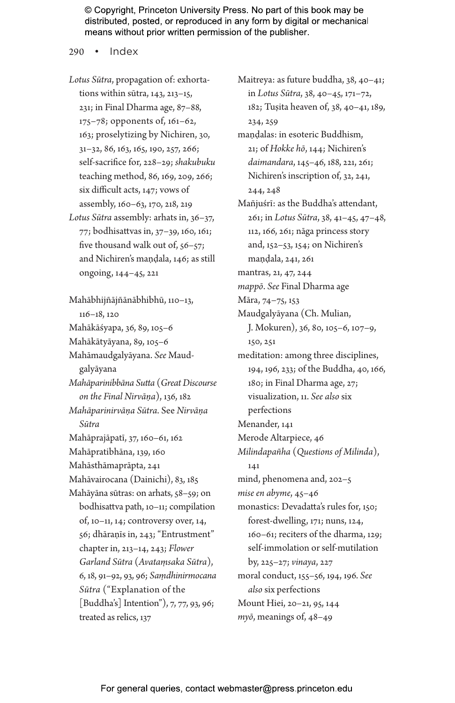290 • Index

*Lotus Sūtra*, propagation of: exhortations within sūtra, 143, 213–15, 231; in Final Dharma age, 87–88, 175–78; opponents of, 161–62, 163; proselytizing by Nichiren, 30, 31–32, 86, 163, 165, 190, 257, 266; self-sacrifice for, 228–29; *shakubuku* teaching method, 86, 169, 209, 266; six difficult acts, 147; vows of assembly, 160–63, 170, 218, 219 *Lotus Sūtra* assembly: arhats in, 36–37, 77; bodhisattvas in, 37–39, 160, 161; five thousand walk out of, 56–57; and Nichiren's maṇḍala, 146; as still ongoing, 144–45, 221 Mahābhijñājñānābhibhū, 110–13, 116–18, 120 Mahākāśyapa, 36, 89, 105–6 Mahākātyāyana, 89, 105–6 Mahāmaudgalyāyana. *See* Maudgalyāyana *Mahāparinibbāna Sutta* (*Great Discourse on the Final Nirvāṇa*), 136, 182 *Mahāparinirvāṇa Sūtra*. See *Nirvāṇa Sūtra* Mahāprajāpatī, 37, 160–61, 162 Mahāpratibhāna, 139, 160 Mahāsthāmaprāpta, 241 Mahāvairocana (Dainichi), 83, 185 Mahāyāna sūtras: on arhats, 58–59; on bodhisattva path, 10–11; compilation of, 10–11, 14; controversy over, 14, 56; dhāraṇīs in, 243; "Entrustment" chapter in, 213–14, 243; *Flower Garland Sūtra* (*Avataṃsaka Sūtra*), 6, 18, 91–92, 93, 96; *Saṃdhinirmocana Sūtra* ("Explanation of the [Buddha's] Intention"), 7, 77, 93, 96; treated as relics, 137

Maitreya: as future buddha, 38, 40–41; in *Lotus Sūtra*, 38, 40–45, 171–72, 182; Tuṣita heaven of, 38, 40–41, 189, 234, 259 maṇḍalas: in esoteric Buddhism, 21; of *Hokke hō*, 144; Nichiren's *daimandara*, 145–46, 188, 221, 261; Nichiren's inscription of, 32, 241, 244, 248 Mañjuśrī: as the Buddha's attendant, 261; in *Lotus Sūtra*, 38, 41–45, 47–48, 112, 166, 261; nāga princess story and, 152–53, 154; on Nichiren's maṇḍala, 241, 261 mantras, 21, 47, 244 *mappō*. *See* Final Dharma age Māra, 74–75, 153 Maudgalyāyana (Ch. Mulian, J. Mokuren), 36, 80, 105–6, 107–9, 150, 251 meditation: among three disciplines, 194, 196, 233; of the Buddha, 40, 166, 180; in Final Dharma age, 27; visualization, 11. *See also* six perfections Menander, 141 Merode Altarpiece, 46 *Milindapañha* (*Questions of Milinda*), 141 mind, phenomena and, 202–5 *mise en abyme*, 45–46 monastics: Devadatta's rules for, 150; forest-dwelling, 171; nuns, 124, 160–61; reciters of the dharma, 129; self-immolation or self-mutilation by, 225–27; *vinaya*, 227 moral conduct, 155–56, 194, 196. *See also* six perfections Mount Hiei, 20–21, 95, 144 *myō*, meanings of, 48–49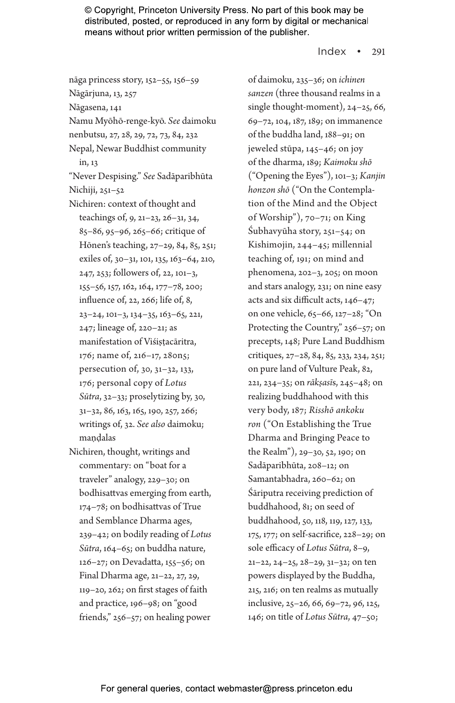Index • 291

nāga princess story, 152–55, 156–59 Nāgārjuna, 13, 257 Nāgasena, 141 Namu Myōhō-renge-kyō. *See* daimoku nenbutsu, 27, 28, 29, 72, 73, 84, 232 Nepal, Newar Buddhist community in, 13 "Never Despising." *See* Sadāparibhūta Nichiji, 251–52 Nichiren: context of thought and teachings of, 9, 21–23, 26–31, 34, 85–86, 95–96, 265–66; critique of Hōnen's teaching, 27–29, 84, 85, 251; exiles of, 30–31, 101, 135, 163–64, 210, 247, 253; followers of, 22, 101–3, 155–56, 157, 162, 164, 177–78, 200; influence of, 22, 266; life of, 8, 23–24, 101–3, 134–35, 163–65, 221, 247; lineage of, 220–21; as manifestation of Viśiṣṭacāritra, 176; name of, 216–17, 280n5; persecution of, 30, 31–32, 133, 176; personal copy of *Lotus Sūtra*, 32–33; proselytizing by, 30, 31–32, 86, 163, 165, 190, 257, 266; writings of, 32. *See also* daimoku; maṇḍalas Nichiren, thought, writings and commentary: on "boat for a

traveler" analogy, 229–30; on bodhisattvas emerging from earth, 174–78; on bodhisattvas of True and Semblance Dharma ages, 239–42; on bodily reading of *Lotus Sūtra*, 164–65; on buddha nature, 126–27; on Devadatta, 155–56; on Final Dharma age, 21–22, 27, 29, 119–20, 262; on first stages of faith and practice, 196–98; on "good friends," 256–57; on healing power

of daimoku, 235–36; on *ichinen sanzen* (three thousand realms in a single thought-moment), 24–25, 66, 69–72, 104, 187, 189; on immanence of the buddha land, 188–91; on jeweled stūpa, 145–46; on joy of the dharma, 189; *Kaimoku shō* ("Opening the Eyes"), 101–3; *Kanjin honzon shō* ("On the Contemplation of the Mind and the Object of Worship"), 70–71; on King Śubhavyūha story, 251–54; on Kishimojin, 244–45; millennial teaching of, 191; on mind and phenomena, 202–3, 205; on moon and stars analogy, 231; on nine easy acts and six difficult acts, 146–47; on one vehicle, 65–66, 127–28; "On Protecting the Country," 256–57; on precepts, 148; Pure Land Buddhism critiques, 27–28, 84, 85, 233, 234, 251; on pure land of Vulture Peak, 82, 221, 234–35; on *rākṣasī*s, 245–48; on realizing buddhahood with this very body, 187; *Risshō ankoku ron* ("On Establishing the True Dharma and Bringing Peace to the Realm"), 29–30, 52, 190; on Sadāparibhūta, 208–12; on Samantabhadra, 260–62; on Śāriputra receiving prediction of buddhahood, 81; on seed of buddhahood, 50, 118, 119, 127, 133, 175, 177; on self-sacrifice, 228–29; on sole efficacy of *Lotus Sūtra*, 8–9, 21–22, 24–25, 28–29, 31–32; on ten powers displayed by the Buddha, 215, 216; on ten realms as mutually inclusive, 25–26, 66, 69–72, 96, 125, 146; on title of *Lotus Sūtra*, 47–50;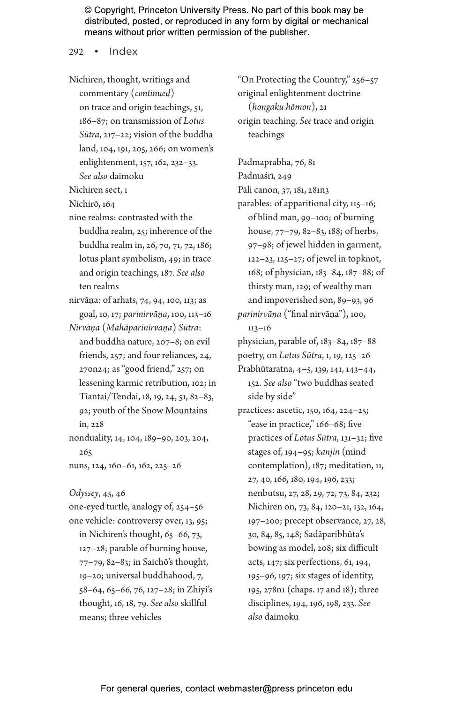292 • Index

Nichiren, thought, writings and commentary (*continued*) on trace and origin teachings, 51, 186–87; on transmission of *Lotus Sūtra*, 217–22; vision of the buddha land, 104, 191, 205, 266; on women's enlightenment, 157, 162, 232–33. *See also* daimoku Nichiren sect, 1 Nichirō, 164 nine realms: contrasted with the buddha realm, 25; inherence of the buddha realm in, 26, 70, 71, 72, 186; lotus plant symbolism, 49; in trace and origin teachings, 187. *See also* ten realms nirvāṇa: of arhats, 74, 94, 100, 113; as goal, 10, 17; *parinirvāṇa*, 100, 113–16 *Nirvāṇa* (*Mahāparinirvāṇa*) *Sūtra*: and buddha nature, 207–8; on evil friends, 257; and four reliances, 24, 270n24; as "good friend," 257; on lessening karmic retribution, 102; in Tiantai/Tendai, 18, 19, 24, 51, 82–83, 92; youth of the Snow Mountains in, 228 nonduality, 14, 104, 189–90, 203, 204, 265 nuns, 124, 160–61, 162, 225–26 *Odyssey*, 45, 46 one-eyed turtle, analogy of, 254–56 one vehicle: controversy over, 13, 95; in Nichiren's thought, 65–66, 73, 127–28; parable of burning house, 77–79, 82–83; in Saichō's thought, 19–20; universal buddhahood, 7, 58–64, 65–66, 76, 127–28; in Zhiyi's thought, 16, 18, 79. *See also* skillful means; three vehicles

"On Protecting the Country," 256–57 original enlightenment doctrine (*hongaku hōmon*), 21 origin teaching. *See* trace and origin teachings

Padmaprabha, 76, 81 Padmaśrī, 249 Pāli canon, 37, 181, 281n3 parables: of apparitional city, 115–16; of blind man, 99–100; of burning house, 77–79, 82–83, 188; of herbs, 97–98; of jewel hidden in garment, 122–23, 125–27; of jewel in topknot, 168; of physician, 183–84, 187–88; of thirsty man, 129; of wealthy man and impoverished son, 89–93, 96 *parinirvāṇa* ("final nirvāṇa"), 100, 113–16 physician, parable of, 183–84, 187–88 poetry, on *Lotus Sūtra*, 1, 19, 125–26 Prabhūtaratna, 4–5, 139, 141, 143–44, 152. *See also* "two buddhas seated side by side"

practices: ascetic, 150, 164, 224–25; "ease in practice," 166–68; five practices of *Lotus Sūtra*, 131–32; five stages of, 194–95; *kanjin* (mind contemplation), 187; meditation, 11, 27, 40, 166, 180, 194, 196, 233; nenbutsu, 27, 28, 29, 72, 73, 84, 232; Nichiren on, 73, 84, 120–21, 132, 164, 197–200; precept observance, 27, 28, 30, 84, 85, 148; Sadāparibhūta's bowing as model, 208; six difficult acts, 147; six perfections, 61, 194, 195–96, 197; six stages of identity, 195, 278n1 (chaps. 17 and 18); three disciplines, 194, 196, 198, 233. *See also* daimoku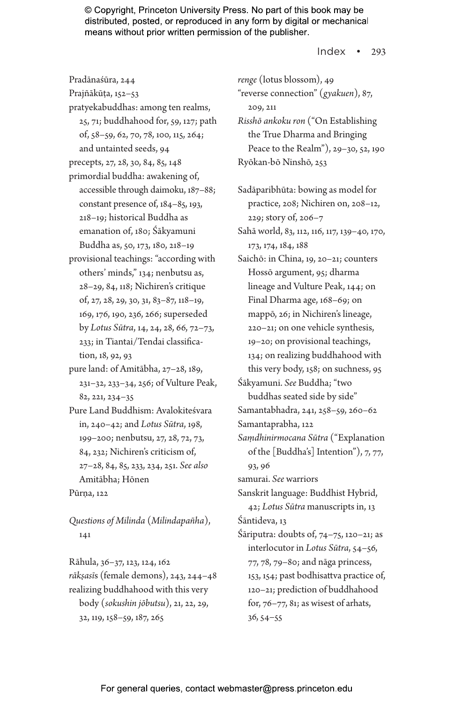*renge* (lotus blossom), 49

Index • 293

Pradānaśūra, 244 Prajñākūṭa, 152–53 pratyekabuddhas: among ten realms, 25, 71; buddhahood for, 59, 127; path of, 58–59, 62, 70, 78, 100, 115, 264; and untainted seeds, 94 precepts, 27, 28, 30, 84, 85, 148 primordial buddha: awakening of, accessible through daimoku, 187–88; constant presence of, 184–85, 193, 218–19; historical Buddha as emanation of, 180; Śākyamuni Buddha as, 50, 173, 180, 218–19 provisional teachings: "according with others' minds," 134; nenbutsu as, 28–29, 84, 118; Nichiren's critique of, 27, 28, 29, 30, 31, 83–87, 118–19, 169, 176, 190, 236, 266; superseded by *Lotus Sūtra*, 14, 24, 28, 66, 72–73, 233; in Tiantai/Tendai classification, 18, 92, 93 pure land: of Amitābha, 27–28, 189, 231–32, 233–34, 256; of Vulture Peak, 82, 221, 234–35 Pure Land Buddhism: Avalokiteśvara in, 240–42; and *Lotus Sūtra*, 198, 199–200; nenbutsu, 27, 28, 72, 73, 84, 232; Nichiren's criticism of, 27–28, 84, 85, 233, 234, 251. *See also* Amitābha; Hōnen Pūrṇa, 122 *Questions of Milinda* (*Milindapañha*), 141

Rāhula, 36–37, 123, 124, 162 *rākṣasī*s (female demons), 243, 244–48 realizing buddhahood with this very body (*sokushin jōbutsu*), 21, 22, 29, 32, 119, 158–59, 187, 265

"reverse connection" (*gyakuen*), 87, 209, 211 *Risshō ankoku ron* ("On Establishing the True Dharma and Bringing Peace to the Realm"), 29–30, 52, 190 Ryōkan-bō Ninshō, 253 Sadāparibhūta: bowing as model for practice, 208; Nichiren on, 208–12, 229; story of, 206–7 Sahā world, 83, 112, 116, 117, 139–40, 170, 173, 174, 184, 188 Saichō: in China, 19, 20–21; counters Hossō argument, 95; dharma lineage and Vulture Peak, 144; on Final Dharma age, 168–69; on mappō, 26; in Nichiren's lineage, 220–21; on one vehicle synthesis, 19–20; on provisional teachings, 134; on realizing buddhahood with this very body, 158; on suchness, 95 Śākyamuni. *See* Buddha; "two buddhas seated side by side" Samantabhadra, 241, 258–59, 260–62 Samantaprabha, 122 *Saṃdhinirmocana Sūtra* ("Explanation of the [Buddha's] Intention"), 7, 77, 93, 96 samurai. *See* warriors Sanskrit language: Buddhist Hybrid, 42; *Lotus Sūtra* manuscripts in, 13 Śāntideva, 13 Śāriputra: doubts of, 74–75, 120–21; as interlocutor in *Lotus Sūtra*, 54–56, 77, 78, 79–80; and nāga princess, 153, 154; past bodhisattva practice of, 120–21; prediction of buddhahood for, 76–77, 81; as wisest of arhats, 36, 54–55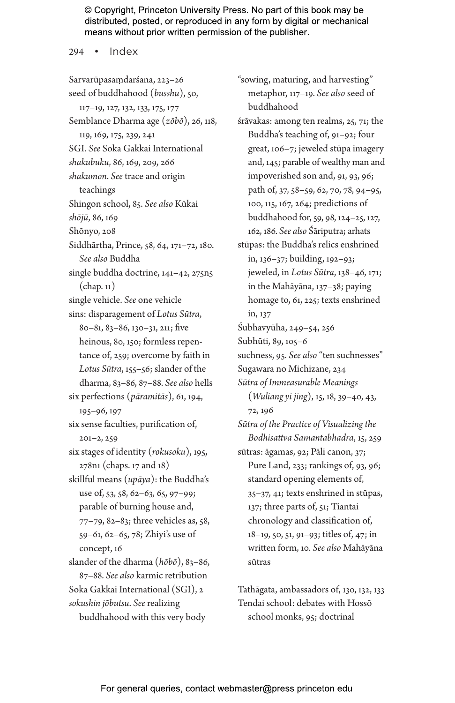294 • Index

Sarvarūpasaṃdarśana, 223–26 seed of buddhahood (*busshu*), 50, 117–19, 127, 132, 133, 175, 177 Semblance Dharma age (*zōbō*), 26, 118, 119, 169, 175, 239, 241 SGI. *See* Soka Gakkai International *shakubuku*, 86, 169, 209, 266 *shakumon*. *See* trace and origin teachings Shingon school, 85. *See also* Kūkai *shōjū*, 86, 169 Shōnyo, 208 Siddhārtha, Prince, 58, 64, 171–72, 180. *See also* Buddha single buddha doctrine, 141–42, 275n5 (chap. 11) single vehicle. *See* one vehicle sins: disparagement of *Lotus Sūtra*, 80–81, 83–86, 130–31, 211; five heinous, 80, 150; formless repentance of, 259; overcome by faith in *Lotus Sūtra*, 155–56; slander of the dharma, 83–86, 87–88. *See also* hells six perfections (*pāramitās*), 61, 194, 195–96, 197 six sense faculties, purification of, 201–2, 259 six stages of identity (*rokusoku*), 195, 278n1 (chaps. 17 and 18) skillful means (*upāya*): the Buddha's use of, 53, 58, 62–63, 65, 97–99; parable of burning house and, 77–79, 82–83; three vehicles as, 58, 59–61, 62–65, 78; Zhiyi's use of concept, 16 slander of the dharma (*hōbō*), 83–86, 87–88. *See also* karmic retribution Soka Gakkai International (SGI), 2 *sokushin jōbutsu*. *See* realizing buddhahood with this very body

metaphor, 117–19. *See also* seed of buddhahood śrāvakas: among ten realms, 25, 71; the Buddha's teaching of, 91–92; four great, 106–7; jeweled stūpa imagery and, 145; parable of wealthy man and impoverished son and, 91, 93, 96; path of, 37, 58–59, 62, 70, 78, 94–95, 100, 115, 167, 264; predictions of buddhahood for, 59, 98, 124–25, 127, 162, 186. *See also* Śāriputra; arhats stūpas: the Buddha's relics enshrined in, 136–37; building, 192–93; jeweled, in *Lotus Sūtra*, 138–46, 171; in the Mahāyāna, 137–38; paying homage to, 61, 225; texts enshrined in, 137 Śubhavyūha, 249–54, 256 Subhūti, 89, 105–6 suchness, 95. *See also* "ten suchnesses" Sugawara no Michizane, 234 *Sūtra of Immeasurable Meanings* (*Wuliang yi jing*), 15, 18, 39–40, 43, 72, 196 *Sūtra of the Practice of Visualizing the Bodhisattva Samantabhadra*, 15, 259 sūtras: āgamas, 92; Pāli canon, 37; Pure Land, 233; rankings of, 93, 96; standard opening elements of, 35–37, 41; texts enshrined in stūpas, 137; three parts of, 51; Tiantai chronology and classification of, 18–19, 50, 51, 91–93; titles of, 47; in written form, 10. *See also* Mahāyāna sūtras

"sowing, maturing, and harvesting"

Tathāgata, ambassadors of, 130, 132, 133 Tendai school: debates with Hossō school monks, 95; doctrinal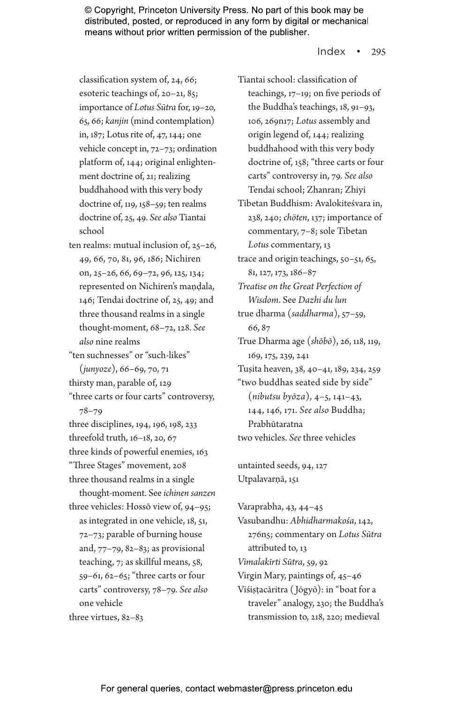Index • 295

classification system of, 24, 66; esoteric teachings of, 20–21, 85; importance of *Lotus Sūtra* for, 19–20, 65, 66; *kanjin* (mind contemplation) in, 187; Lotus rite of, 47, 144; one vehicle concept in, 72–73; ordination platform of, 144; original enlightenment doctrine of, 21; realizing buddhahood with this very body doctrine of, 119, 158–59; ten realms doctrine of, 25, 49. *See also* Tiantai school

ten realms: mutual inclusion of, 25–26, 49, 66, 70, 81, 96, 186; Nichiren on, 25–26, 66, 69–72, 96, 125, 134; represented on Nichiren's maṇḍala, 146; Tendai doctrine of, 25, 49; and three thousand realms in a single thought-moment, 68–72, 128. *See also* nine realms

"ten suchnesses" or "such-likes" (*junyoze*), 66–69, 70, 71 thirsty man, parable of, 129 "three carts or four carts" controversy,

78–79 three disciplines, 194, 196, 198, 233 threefold truth, 16–18, 20, 67 three kinds of powerful enemies, 163 "Three Stages" movement, 208 three thousand realms in a single thought-moment. See *ichinen sanzen* three vehicles: Hossō view of, 94–95; as integrated in one vehicle, 18, 51, 72–73; parable of burning house and, 77–79, 82–83; as provisional teaching, 7; as skillful means, 58, 59–61, 62–65; "three carts or four carts" controversy, 78–79. *See also* one vehicle

Tiantai school: classification of teachings, 17–19; on five periods of the Buddha's teachings, 18, 91–93, 106, 269n17; *Lotus* assembly and origin legend of, 144; realizing buddhahood with this very body doctrine of, 158; "three carts or four carts" controversy in, 79. *See also* Tendai school; Zhanran; Zhiyi Tibetan Buddhism: Avalokiteśvara in, 238, 240; *chöten*, 137; importance of commentary, 7–8; sole Tibetan *Lotus* commentary, 13 trace and origin teachings, 50–51, 65, 81, 127, 173, 186–87 *Treatise on the Great Perfection of Wisdom*. See *Dazhi du lun* true dharma (*saddharma*), 57–59, 66, 87 True Dharma age (*shōbō*), 26, 118, 119, 169, 175, 239, 241 Tuṣita heaven, 38, 40–41, 189, 234, 259 "two buddhas seated side by side" (*nibutsu byōza*), 4–5, 141–43, 144, 146, 171. *See also* Buddha; Prabhūtaratna two vehicles. *See* three vehicles

untainted seeds, 94, 127 Utpalavarṇā, 151

Varaprabha, 43, 44–45 Vasubandhu: *Abhidharmakośa*, 142, 276n5; commentary on *Lotus Sūtra* attributed to, 13 *Vimalakīrti Sūtra*, 59, 92 Virgin Mary, paintings of, 45–46 Viśiṣṭacāritra ( Jōgyō): in "boat for a traveler" analogy, 230; the Buddha's transmission to, 218, 220; medieval

three virtues, 82–83